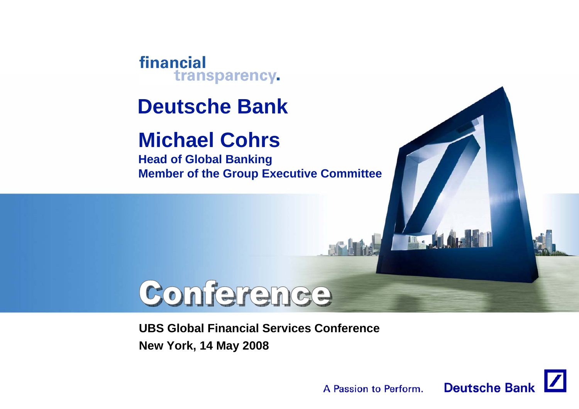financial transparency.

### **Deutsche Bank**

## **Michael Cohrs**

**Head of Global Banking Member of the Group Executive Committee**

# Conference

**UBS Global Financial Services ConferenceNew York, 14 May 2008**



**IT.**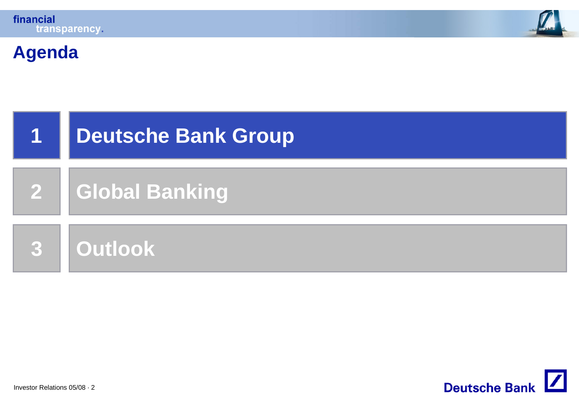



#### **Agenda**



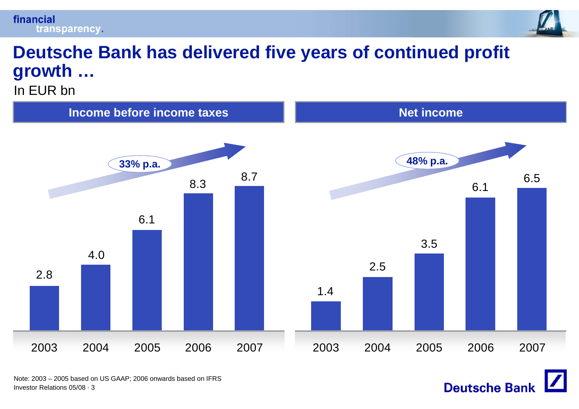



**Deutsche Bank** 

#### **Deutsche Bank has delivered five years of continued profit growth …**

In EUR bn



Investor Relations 05/08 · 3Note: 2003 – 2005 based on US GAAP; 2006 onwards based on IFRS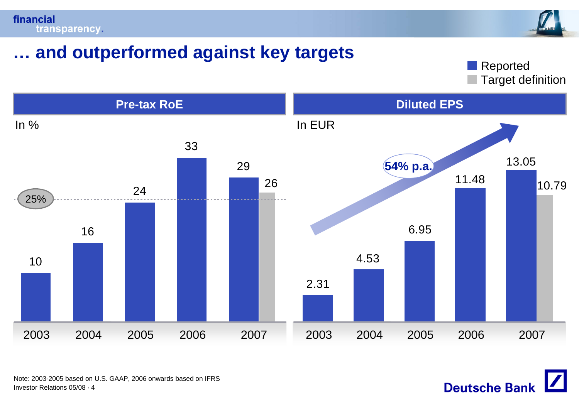



#### **… and outperformed against key targets**

Target definition Reported



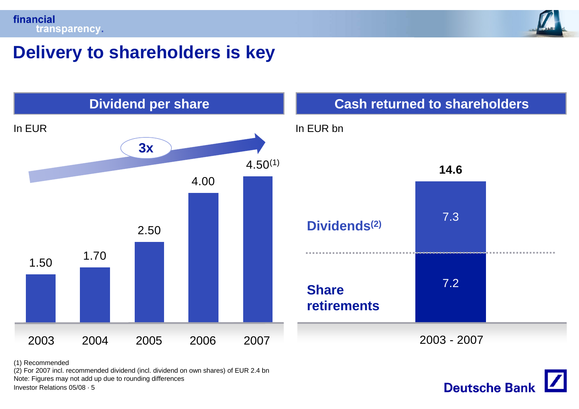



#### **Delivery to shareholders is key**



# 7.3**14.6**7.2**Dividend per share Cash returned to shareholders** In EUR bn **Share retirements Dividends(2)**

2003 - 2007



(1) Recommended

(2) For 2007 incl. recommended dividend (incl. dividend on own shares) of EUR 2.4 bn Note: Figures may not add up due to rounding differences

Investor Relations 05/08 · 5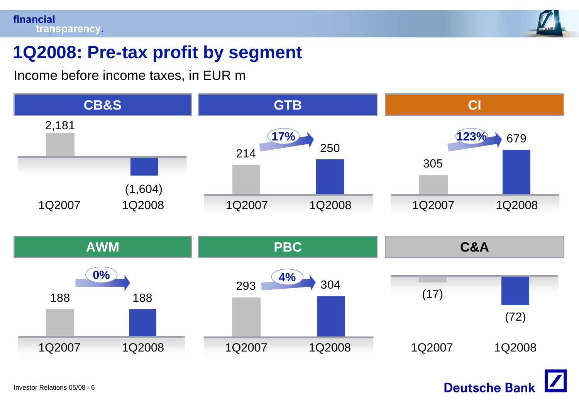

#### **1Q2008: Pre-tax profit by segment**

Income before income taxes, in EUR m

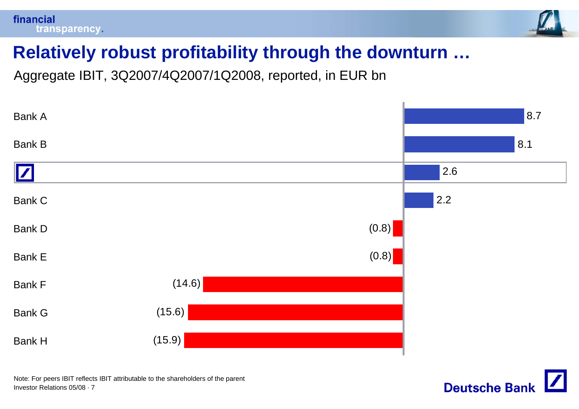



#### **Relatively robust profitability through the downturn …**

Aggregate IBIT, 3Q2007/4Q2007/1Q2008, reported, in EUR bn



Investor Relations 05/08 · 7Note: For peers IBIT reflects IBIT attributable to the shareholders of the parent

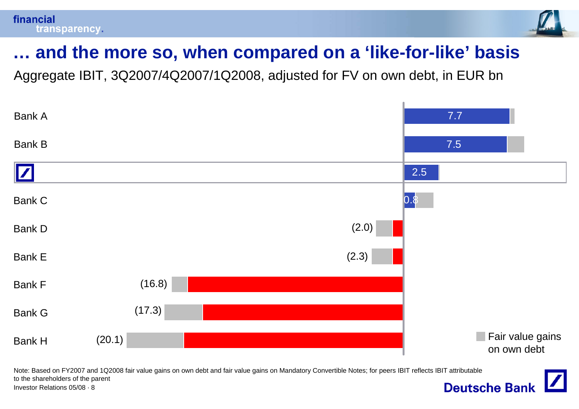

### **… and the more so, when compared on a 'like-for-like' basis**

Aggregate IBIT, 3Q2007/4Q2007/1Q2008, adjusted for FV on own debt, in EUR bn



Note: Based on FY2007 and 1Q2008 fair value gains on own debt and fair value gains on Mandatory Convertible Notes; for peers IBIT reflects IBIT attributable to the shareholders of the parent **Deutsche Bank** Investor Relations 05/08 · 8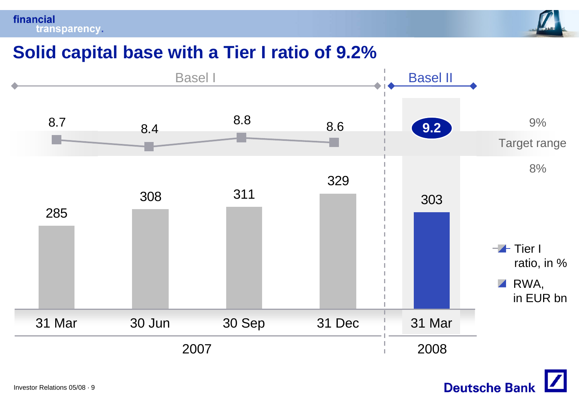financial transparency.



**Deutsche Bank** 

#### **Solid capital base with a Tier I ratio of 9.2%**

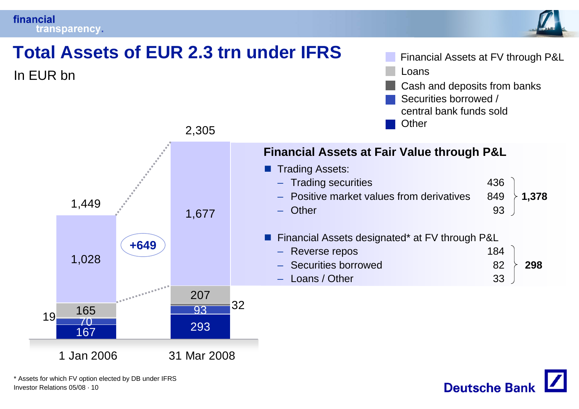#### financial transparency.



**1,378**

**298**



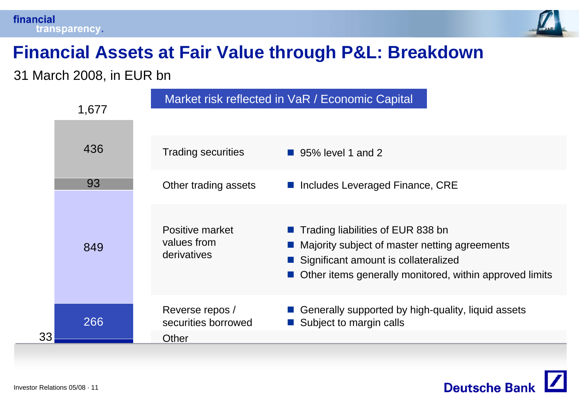



### **Financial Assets at Fair Value through P&L: Breakdown**

31 March 2008, in EUR bn

|    | 1,677 |                                                 | Market risk reflected in VaR / Economic Capital                                                                                                                                           |
|----|-------|-------------------------------------------------|-------------------------------------------------------------------------------------------------------------------------------------------------------------------------------------------|
|    | 436   | <b>Trading securities</b>                       | ■ 95% level 1 and 2                                                                                                                                                                       |
|    | 93    | Other trading assets                            | ■ Includes Leveraged Finance, CRE                                                                                                                                                         |
|    | 849   | Positive market<br>values from<br>derivatives   | ■ Trading liabilities of EUR 838 bn<br>■ Majority subject of master netting agreements<br>Significant amount is collateralized<br>Other items generally monitored, within approved limits |
| 33 | 266   | Reverse repos /<br>securities borrowed<br>Other | Generally supported by high-quality, liquid assets<br>Subject to margin calls                                                                                                             |

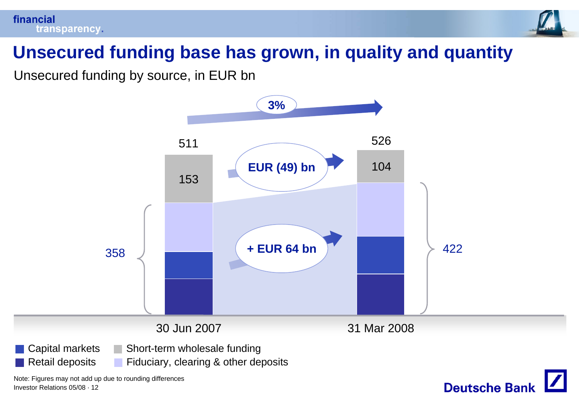



#### **Unsecured funding base has grown, in quality and quantity**

Unsecured funding by source, in EUR bn

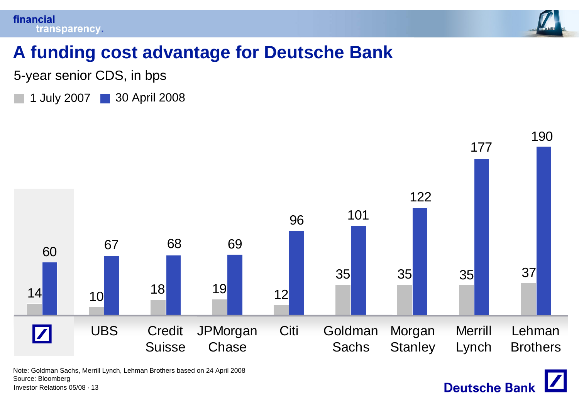



**Deutsche Bank** 

#### **A funding cost advantage for Deutsche Bank**

5-year senior CDS, in bps

1 July 2007 30 April 2008



Note: Goldman Sachs, Merrill Lynch, Lehman Brothers based on 24 April 2008 Source: Bloomberg

Investor Relations 05/08 · 13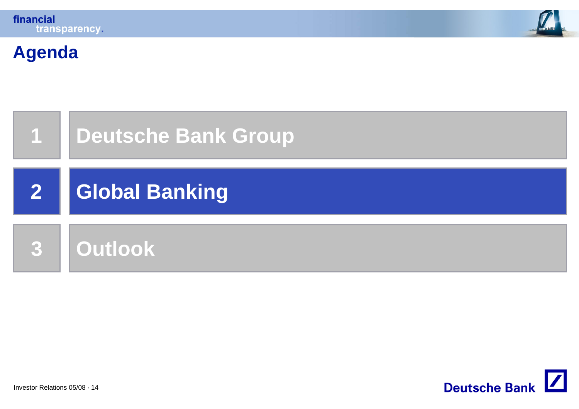



#### **Agenda**



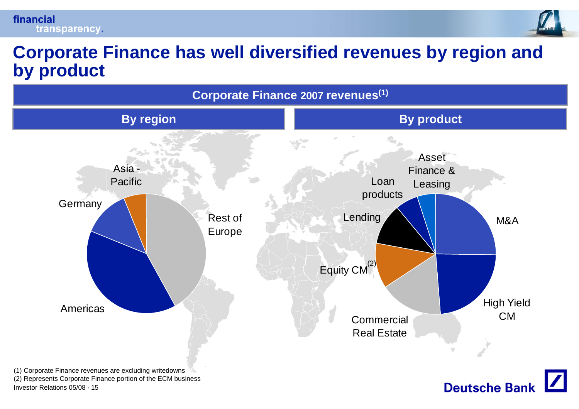

#### **Corporate Finance has well diversified revenues by region and by product**

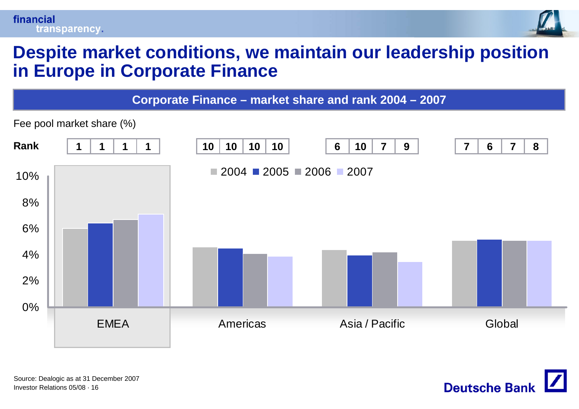

#### **Despite market conditions, we maintain our leadership position in Europe in Corporate Finance**

**Corporate Finance – market share and rank 2004 – 2007**



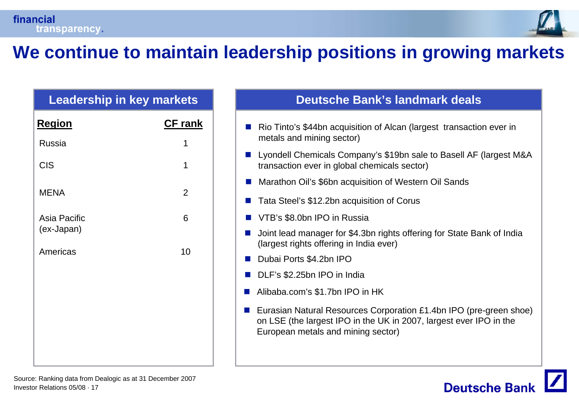

#### **We continue to maintain leadership positions in growing markets**

# **Region CF rank** Russia 1CIS and the contract of the contract of the contract of the contract of the contract of the contract of the contract of the contract of the contract of the contract of the contract of the contract of the contract of the co MFNA 2 Asia Pacific 6(ex-Japan) Americas 10

#### **Leadership in key markets Deutsche Bank's landmark deals**

- Rio Tinto's \$44bn acquisition of Alcan (largest transaction ever in metals and mining sector)
- Lyondell Chemicals Company's \$19bn sale to Basell AF (largest M&A transaction ever in global chemicals sector)
- Marathon Oil's \$6bn acquisition of Western Oil Sands
- Tata Steel's \$12.2bn acquisition of Corus
- **VTB's \$8.0bn IPO in Russia**
- Joint lead manager for \$4.3bn rights offering for State Bank of India (largest rights offering in India ever)
- Dubai Ports \$4.2bn IPO
- **DLF's \$2.25bn IPO in India**
- P. Alibaba.com's \$1.7bn IPO in HK
- Eurasian Natural Resources Corporation £1.4bn IPO (pre-green shoe) on LSE (the largest IPO in the UK in 2007, largest ever IPO in the European metals and mining sector)

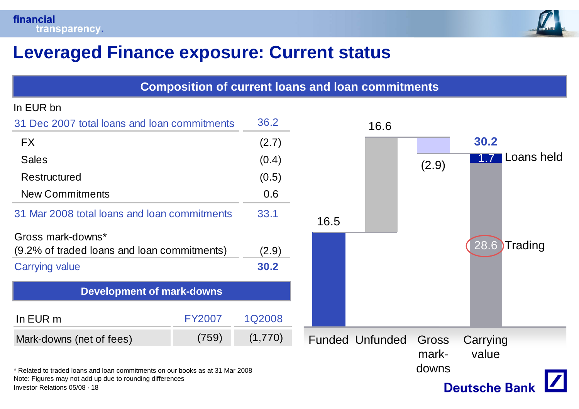

#### **Leveraged Finance exposure: Current status**

| <b>Composition of current loans and loan commitments</b>                                  |               |         |      |                        |                        |                    |
|-------------------------------------------------------------------------------------------|---------------|---------|------|------------------------|------------------------|--------------------|
| In EUR bn                                                                                 |               |         |      |                        |                        |                    |
| 31 Dec 2007 total loans and loan commitments                                              | 36.2          |         | 16.6 |                        |                        |                    |
| <b>FX</b>                                                                                 | (2.7)         |         |      |                        | 30.2                   |                    |
| <b>Sales</b>                                                                              |               | (0.4)   |      |                        | (2.9)                  | Loans held<br>1174 |
| <b>Restructured</b>                                                                       |               | (0.5)   |      |                        |                        |                    |
| <b>New Commitments</b>                                                                    |               | 0.6     |      |                        |                        |                    |
| 31 Mar 2008 total loans and loan commitments                                              | 33.1          | 16.5    |      |                        |                        |                    |
| Gross mark-downs*<br>(9.2% of traded loans and loan commitments)                          | (2.9)         |         |      |                        | 28.6<br><b>Trading</b> |                    |
| <b>Carrying value</b>                                                                     | 30.2          |         |      |                        |                        |                    |
| <b>Development of mark-downs</b>                                                          |               |         |      |                        |                        |                    |
| In EUR m                                                                                  | <b>FY2007</b> | 1Q2008  |      |                        |                        |                    |
| Mark-downs (net of fees)                                                                  | (759)         | (1,770) |      | <b>Funded Unfunded</b> | Gross                  | Carrying           |
| Related to traded loans and loan commitments on our books as at 31 Mar 2008               |               |         |      |                        | mark-<br>downs         | value              |
| Note: Figures may not add up due to rounding differences<br>Investor Relations 05/08 · 18 |               |         |      |                        | <b>Deutsche Bank</b>   |                    |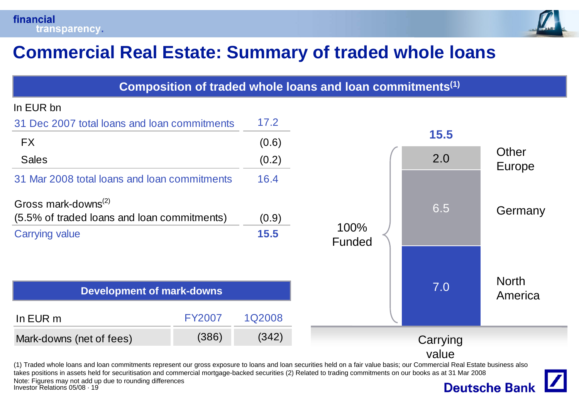

#### **Commercial Real Estate: Summary of traded whole loans**

| Composition of traded whole loans and loan commitments <sup>(1)</sup>                                                                                                                                                                                      |               |               |                |          |                         |  |
|------------------------------------------------------------------------------------------------------------------------------------------------------------------------------------------------------------------------------------------------------------|---------------|---------------|----------------|----------|-------------------------|--|
| In EUR bn                                                                                                                                                                                                                                                  |               |               |                |          |                         |  |
| 31 Dec 2007 total loans and loan commitments                                                                                                                                                                                                               | 17.2          |               |                |          |                         |  |
| <b>FX</b>                                                                                                                                                                                                                                                  | (0.6)         |               | <b>15.5</b>    |          |                         |  |
| <b>Sales</b>                                                                                                                                                                                                                                               |               | (0.2)         |                | 2.0      | Other<br><b>Europe</b>  |  |
| 31 Mar 2008 total loans and loan commitments                                                                                                                                                                                                               | 16.4          |               |                |          |                         |  |
| Gross mark-downs <sup>(2)</sup><br>(5.5% of traded loans and loan commitments)<br><b>Carrying value</b>                                                                                                                                                    |               | (0.9)<br>15.5 | 100%<br>Funded | 6.5      | Germany                 |  |
| <b>Development of mark-downs</b>                                                                                                                                                                                                                           |               |               |                | 7.0      | <b>North</b><br>America |  |
| In EUR m                                                                                                                                                                                                                                                   | <b>FY2007</b> | 1Q2008        |                |          |                         |  |
| Mark-downs (net of fees)                                                                                                                                                                                                                                   | (386)         | (342)         |                | Carrying |                         |  |
| (1) Traded whole loans and loan commitments represent our gross exposure to loans and loan securities held on a fair value basis; our Commercial Real Estate business also                                                                                 |               |               |                | value    |                         |  |
| takes positions in assets held for securitisation and commercial mortgage-backed securities (2) Related to trading commitments on our books as at 31 Mar 2008<br>Note: Figures may not add up due to rounding differences<br>Investor Relations 05/08 · 19 |               |               |                |          | <b>Deutsche Bank</b>    |  |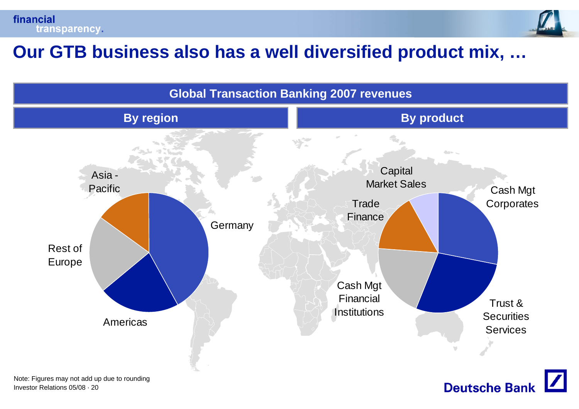



#### **Our GTB business also has a well diversified product mix, …**



Investor Relations 05/08 · 20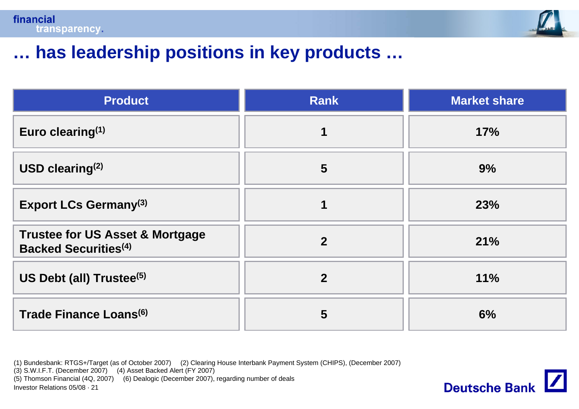

**Deutsche Bank** 

#### **… has leadership positions in key products …**

| <b>Product</b>                                                                        | <b>Rank</b>    | <b>Market share</b> |
|---------------------------------------------------------------------------------------|----------------|---------------------|
| Euro clearing $(1)$                                                                   |                | 17%                 |
| USD clearing $(2)$                                                                    | $5\phantom{1}$ | 9%                  |
| <b>Export LCs Germany(3)</b>                                                          |                | 23%                 |
| <b>Trustee for US Asset &amp; Mortgage</b><br><b>Backed Securities</b> <sup>(4)</sup> | $\overline{2}$ | 21%                 |
| US Debt (all) Trustee <sup>(5)</sup>                                                  | $\overline{2}$ | 11%                 |
| Trade Finance Loans <sup>(6)</sup>                                                    | 5              | 6%                  |

(1) Bundesbank: RTGS+/Target (as of October 2007) (2) Clearing House Interbank Payment System (CHIPS), (December 2007)

(3) S.W.I.F.T. (December 2007) (4) Asset Backed Alert (FY 2007)

(5) Thomson Financial (4Q, 2007) (6) Dealogic (December 2007), regarding number of deals

Investor Relations 05/08 · 21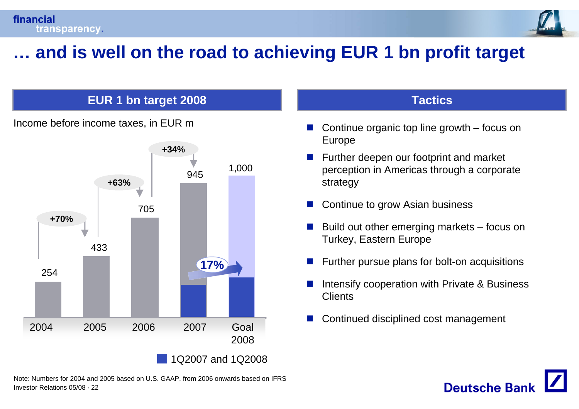

### **… and is well on the road to achieving EUR 1 bn profit target**

#### **EUR 1 bn target 2008 Tactics**





Investor Relations 05/08 · 22Note: Numbers for 2004 and 2005 based on U.S. GAAP, from 2006 onwards based on IFRS

- P) Continue organic top line growth – focus on Europe
- P) Further deepen our footprint and market perception in Americas through a corporate strategy
- P) Continue to grow Asian business
- P) Build out other emerging markets – focus on Turkey, Eastern Europe
- F. Further pursue plans for bolt-on acquisitions
- P. Intensify cooperation with Private & Business **Clients**

**Deutsche Bar** 

P)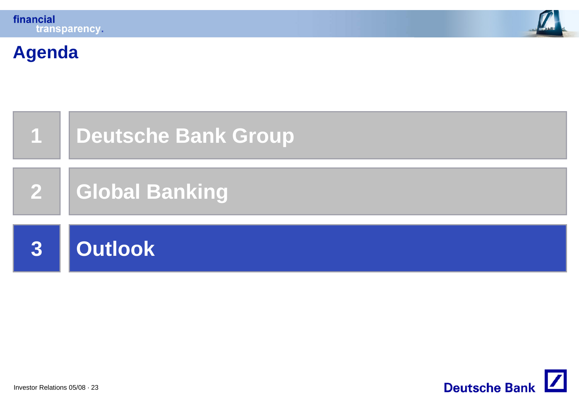



#### **Agenda**



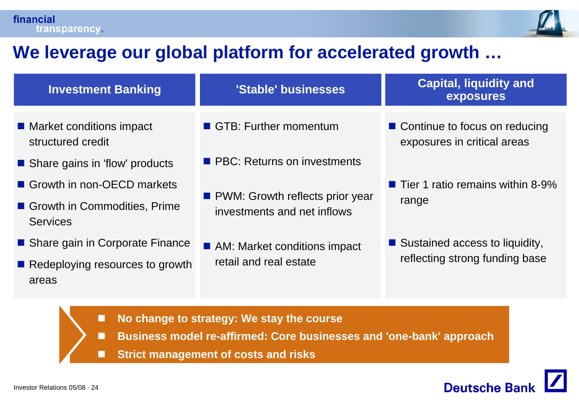

#### **We leverage our global platform for accelerated growth …**

| <b>Investment Banking</b>                       | 'Stable' businesses                                              | <b>Capital, liquidity and</b><br><b>exposures</b>              |  |
|-------------------------------------------------|------------------------------------------------------------------|----------------------------------------------------------------|--|
| ■ Market conditions impact<br>structured credit | GTB: Further momentum                                            | ■ Continue to focus on reducing<br>exposures in critical areas |  |
| Share gains in 'flow' products                  | <b>PBC:</b> Returns on investments                               |                                                                |  |
| Growth in non-OECD markets                      |                                                                  | $\blacksquare$ Tier 1 ratio remains within 8-9%                |  |
| Growth in Commodities, Prime<br><b>Services</b> | • PWM: Growth reflects prior year<br>investments and net inflows | range                                                          |  |
| ■ Share gain in Corporate Finance               | AM: Market conditions impact                                     | ■ Sustained access to liquidity,                               |  |
| Redeploying resources to growth<br>areas        | retail and real estate                                           | reflecting strong funding base                                 |  |

- П **No change to strategy: We stay the course**
- П **Business model re-affirmed: Core businesses and 'one-bank' approach**
- П **Strict management of costs and risks**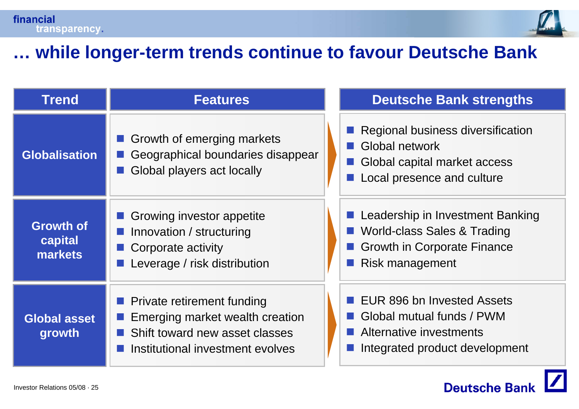

#### **… while longer-term trends continue to favour Deutsche Bank**

| <b>Trend</b>                           | <b>Features</b>                                                                                                                            |  | <b>Deutsche Bank strengths</b>                                                                                           |
|----------------------------------------|--------------------------------------------------------------------------------------------------------------------------------------------|--|--------------------------------------------------------------------------------------------------------------------------|
| <b>Globalisation</b>                   | Growth of emerging markets<br>Geographical boundaries disappear<br>Global players act locally                                              |  | Regional business diversification<br>Global network<br>Global capital market access<br>Local presence and culture        |
| <b>Growth of</b><br>capital<br>markets | Growing investor appetite<br>Innovation / structuring<br>Corporate activity<br>Leverage / risk distribution                                |  | Leadership in Investment Banking<br>World-class Sales & Trading<br><b>Growth in Corporate Finance</b><br>Risk management |
| <b>Global asset</b><br>growth          | <b>Private retirement funding</b><br>Emerging market wealth creation<br>Shift toward new asset classes<br>Institutional investment evolves |  | EUR 896 bn Invested Assets<br>Global mutual funds / PWM<br>Alternative investments<br>Integrated product development     |